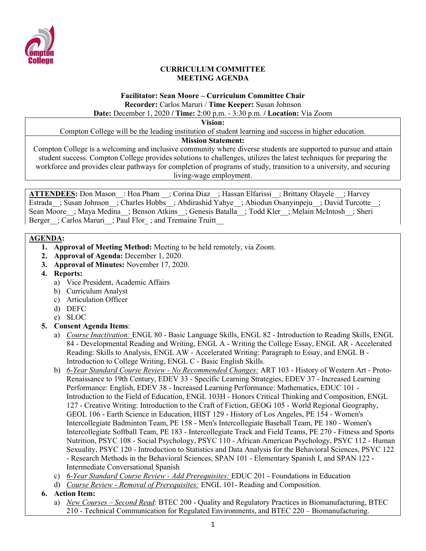

#### **CURRICULUM COMMITTEE MEETING AGENDA**

# **Facilitator: Sean Moore – Curriculum Committee Chair Recorder:** Carlos Maruri / **Time Keeper:** Susan Johnson

**Date:** December 1, 2020 **/ Time:** 2:00 p.m. - 3:30 p.m. **/ Location:** Via Zoom

**Vision:**

Compton College will be the leading institution of student learning and success in higher education.

#### **Mission Statement:**

Compton College is a welcoming and inclusive community where diverse students are supported to pursue and attain student success. Compton College provides solutions to challenges, utilizes the latest techniques for preparing the workforce and provides clear pathways for completion of programs of study, transition to a university, and securing living-wage employment.

**ATTENDEES:** Don Mason : Hoa Pham ; Corina Diaz ; Hassan Elfarissi ; Brittany Olayele ; Harvey Estrada ; Susan Johnson ; Charles Hobbs ; Abdirashid Yahye ; Abiodun Osanyinpeju ; David Turcotte ; Sean Moore ; Maya Medina ; Benson Atkins ; Genesis Batalla ; Todd Kler ; Melain McIntosh ; Sheri Berger : Carlos Maruri : Paul Flor ; and Tremaine Truitt

### **AGENDA:**

- **1. Approval of Meeting Method:** Meeting to be held remotely, via Zoom.
- **2. Approval of Agenda:** December 1, 2020.
- **3. Approval of Minutes:** November 17, 2020.
- **4. Reports:** 
	- a) Vice President, Academic Affairs
	- b) Curriculum Analyst
	- c) Articulation Officer
	- d) DEFC
	- e) SLOC
- **5. Consent Agenda Items**:
	- a) *Course Inactivation:* ENGL 80 Basic Language Skills, ENGL 82 Introduction to Reading Skills, ENGL 84 - Developmental Reading and Writing, ENGL A - Writing the College Essay, ENGL AR - Accelerated Reading: Skills to Analysis, ENGL AW - Accelerated Writing: Paragraph to Essay, and ENGL B - Introduction to College Writing, ENGL C - Basic English Skills.
	- b) *6-Year Standard Course Review - No Recommended Changes:* ART 103 History of Western Art Proto-Renaissance to 19th Century, EDEV 33 - Specific Learning Strategies, EDEV 37 - Increased Learning Performance: English, EDEV 38 - Increased Learning Performance: Mathematics, EDUC 101 - Introduction to the Field of Education, ENGL 103H - Honors Critical Thinking and Composition, ENGL 127 - Creative Writing: Introduction to the Craft of Fiction, GEOG 105 - World Regional Geography, GEOL 106 - Earth Science in Education, HIST 129 - History of Los Angeles, PE 154 - Women's Intercollegiate Badminton Team, PE 158 - Men's Intercollegiate Baseball Team, PE 180 - Women's Intercollegiate Softball Team, PE 183 - Intercollegiate Track and Field Teams, PE 270 - Fitness and Sports Nutrition, PSYC 108 - Social Psychology, PSYC 110 - African American Psychology, PSYC 112 - Human Sexuality, PSYC 120 - Introduction to Statistics and Data Analysis for the Behavioral Sciences, PSYC 122 - Research Methods in the Behavioral Sciences, SPAN 101 - Elementary Spanish I, and SPAN 122 - Intermediate Conversational Spanish
	- c) *6-Year Standard Course Review - Add Prerequisites:* EDUC 201 Foundations in Education
	- d) *Course Review - Removal of Prerequisites:* ENGL 101- Reading and Composition.
- **6. Action Item:**
	- a) *New Courses – Second Read*: BTEC 200 Quality and Regulatory Practices in Biomanufacturing, BTEC 210 - Technical Communication for Regulated Environments, and BTEC 220 – Biomanufacturing.